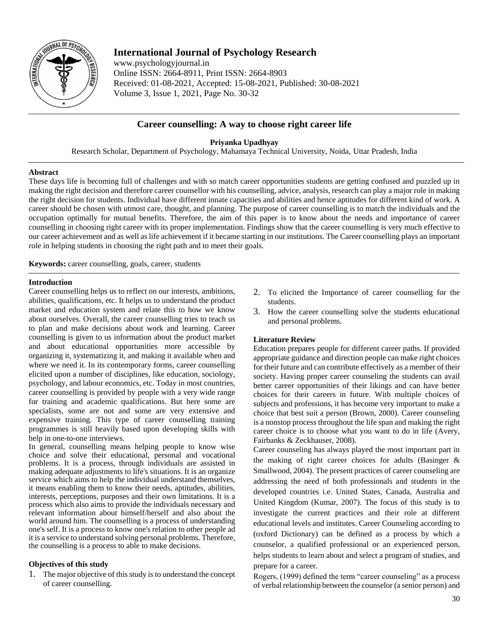

# **International Journal of Psychology Research**

www.psychologyjournal.in Online ISSN: 2664-8911, Print ISSN: 2664-8903 Received: 01-08-2021, Accepted: 15-08-2021, Published: 30-08-2021 Volume 3, Issue 1, 2021, Page No. 30-32

# **Career counselling: A way to choose right career life**

**Priyanka Upadhyay**

Research Scholar, Department of Psychology, Mahamaya Technical University, Noida, Uttar Pradesh, India

#### **Abstract**

These days life is becoming full of challenges and with so match career opportunities students are getting confused and puzzled up in making the right decision and therefore career counsellor with his counselling, advice, analysis, research can play a major role in making the right decision for students. Individual have different innate capacities and abilities and hence aptitudes for different kind of work. A career should be chosen with utmost care, thought, and planning. The purpose of career counselling is to match the individuals and the occupation optimally for mutual benefits. Therefore, the aim of this paper is to know about the needs and importance of career counselling in choosing right career with its proper implementation. Findings show that the career counselling is very much effective to our career achievement and as well as life achievement if it became starting in our institutions. The Career counselling plays an important role in helping students in choosing the right path and to meet their goals.

**Keywords:** career counselling, goals, career, students

#### **Introduction**

Career counselling helps us to reflect on our interests, ambitions, abilities, qualifications, etc. It helps us to understand the product market and education system and relate this to how we know about ourselves. Overall, the career counselling tries to teach us to plan and make decisions about work and learning. Career counselling is given to us information about the product market and about educational opportunities more accessible by organizing it, systematizing it, and making it available when and where we need it. In its contemporary forms, career counselling elicited upon a number of disciplines, like education, sociology, psychology, and labour economics, etc. Today in most countries, career counselling is provided by people with a very wide range for training and academic qualifications. But here some are specialists, some are not and some are very extensive and expensive training. This type of career counselling training programmes is still heavily based upon developing skills with help in one-to-one interviews.

In general, counselling means helping people to know wise choice and solve their educational, personal and vocational problems. It is a process, through individuals are assisted in making adequate adjustments to life's situations. It is an organize service which aims to help the individual understand themselves, it means enabling them to know their needs, aptitudes, abilities, interests, perceptions, purposes and their own limitations. It is a process which also aims to provide the individuals necessary and relevant information about himself/herself and also about the world around him. The counselling is a process of understanding one's self. It is a process to know one's relation to other people ad it is a service to understand solving personal problems. Therefore, the counselling is a process to able to make decisions.

## **Objectives of this study**

1. The major objective of this study is to understand the concept of career counselling.

- 2. To elicited the Importance of career counselling for the students.
- 3. How the career counselling solve the students educational and personal problems.

#### **Literature Review**

Education prepares people for different career paths. If provided appropriate guidance and direction people can make right choices for their future and can contribute effectively as a member of their society. Having proper career counseling the students can avail better career opportunities of their likings and can have better choices for their careers in future. With multiple choices of subjects and professions, it has become very important to make a choice that best suit a person (Brown, 2000). Career counseling is a nonstop process throughout the life span and making the right career choice is to choose what you want to do in life (Avery, Fairbanks & Zeckhauser, 2008).

Career counseling has always played the most important part in the making of right career choices for adults (Basinger & Smallwood, 2004). The present practices of career counseling are addressing the need of both professionals and students in the developed countries i.e. United States, Canada, Australia and United Kingdom (Kumar, 2007). The focus of this study is to investigate the current practices and their role at different educational levels and institutes. Career Counseling according to (oxford Dictionary) can be defined as a process by which a counselor, a qualified professional or an experienced person, helps students to learn about and select a program of studies, and prepare for a career.

Rogers, (1999) defined the term "career counseling" as a process of verbal relationship between the counselor (a senior person) and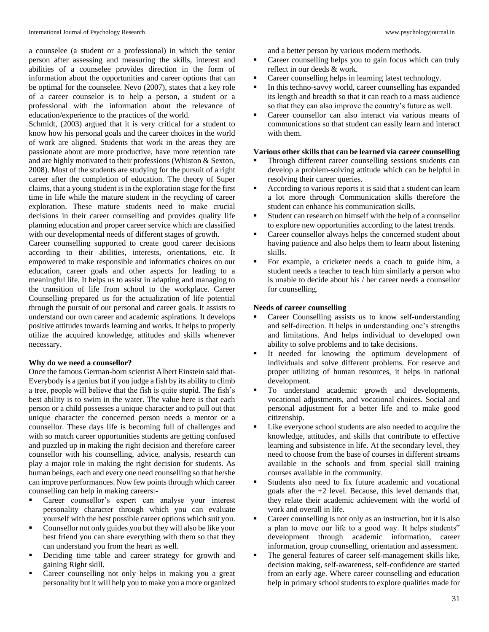a counselee (a student or a professional) in which the senior person after assessing and measuring the skills, interest and abilities of a counselee provides direction in the form of information about the opportunities and career options that can be optimal for the counselee. Nevo (2007), states that a key role of a career counselor is to help a person, a student or a professional with the information about the relevance of education/experience to the practices of the world.

Schmidt, (2003) argued that it is very critical for a student to know how his personal goals and the career choices in the world of work are aligned. Students that work in the areas they are passionate about are more productive, have more retention rate and are highly motivated to their professions (Whiston & Sexton, 2008). Most of the students are studying for the pursuit of a right career after the completion of education. The theory of Super claims, that a young student is in the exploration stage for the first time in life while the mature student in the recycling of career exploration. These mature students need to make crucial decisions in their career counselling and provides quality life planning education and proper career service which are classified with our developmental needs of different stages of growth.

Career counselling supported to create good career decisions according to their abilities, interests, orientations, etc. It empowered to make responsible and informatics choices on our education, career goals and other aspects for leading to a meaningful life. It helps us to assist in adapting and managing to the transition of life from school to the workplace. Career Counselling prepared us for the actualization of life potential through the pursuit of our personal and career goals. It assists to understand our own career and academic aspirations. It develops positive attitudes towards learning and works. It helps to properly utilize the acquired knowledge, attitudes and skills whenever necessary.

#### **Why do we need a counsellor?**

Once the famous German-born scientist Albert Einstein said that-Everybody is a genius but if you judge a fish by its ability to climb a tree, people will believe that the fish is quite stupid. The fish's best ability is to swim in the water. The value here is that each person or a child possesses a unique character and to pull out that unique character the concerned person needs a mentor or a counsellor. These days life is becoming full of challenges and with so match career opportunities students are getting confused and puzzled up in making the right decision and therefore career counsellor with his counselling, advice, analysis, research can play a major role in making the right decision for students. As human beings, each and every one need counselling so that he/she can improve performances. Now few points through which career counselling can help in making careers:-

- Career counsellor's expert can analyse your interest personality character through which you can evaluate yourself with the best possible career options which suit you.
- Counsellor not only guides you but they will also be like your best friend you can share everything with them so that they can understand you from the heart as well.
- Deciding time table and career strategy for growth and gaining Right skill.
- Career counselling not only helps in making you a great personality but it will help you to make you a more organized

and a better person by various modern methods.

- Career counselling helps you to gain focus which can truly reflect in our deeds & work.
- Career counselling helps in learning latest technology.
- In this techno-savvy world, career counselling has expanded its length and breadth so that it can reach to a mass audience so that they can also improve the country's future as well.
- Career counsellor can also interact via various means of communications so that student can easily learn and interact with them.

#### **Various other skills that can be learned via career counselling**

- Through different career counselling sessions students can develop a problem-solving attitude which can be helpful in resolving their career queries.
- According to various reports it is said that a student can learn a lot more through Communication skills therefore the student can enhance his communication skills.
- Student can research on himself with the help of a counsellor to explore new opportunities according to the latest trends.
- Career counsellor always helps the concerned student about having patience and also helps them to learn about listening skills.
- For example, a cricketer needs a coach to guide him, a student needs a teacher to teach him similarly a person who is unable to decide about his / her career needs a counsellor for counselling.

### **Needs of career counselling**

- Career Counselling assists us to know self-understanding and self-direction. It helps in understanding one's strengths and limitations. And helps individual to developed own ability to solve problems and to take decisions.
- It needed for knowing the optimum development of individuals and solve different problems. For reserve and proper utilizing of human resources, it helps in national development.
- To understand academic growth and developments, vocational adjustments, and vocational choices. Social and personal adjustment for a better life and to make good citizenship.
- Like everyone school students are also needed to acquire the knowledge, attitudes, and skills that contribute to effective learning and subsistence in life. At the secondary level, they need to choose from the base of courses in different streams available in the schools and from special skill training courses available in the community.
- Students also need to fix future academic and vocational goals after the +2 level. Because, this level demands that, they relate their academic achievement with the world of work and overall in life.
- Career counselling is not only as an instruction, but it is also a plan to move our life to a good way. It helps students" development through academic information, career information, group counselling, orientation and assessment.
- The general features of career self-management skills like, decision making, self-awareness, self-confidence are started from an early age. Where career counselling and education help in primary school students to explore qualities made for